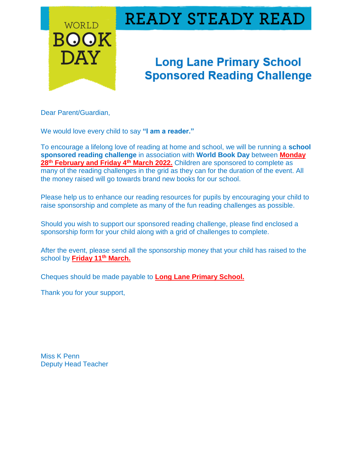

## **READY STEADY READ**

## **Long Lane Primary School Sponsored Reading Challenge**

Dear Parent/Guardian,

We would love every child to say **"I am a reader."**

To encourage a lifelong love of reading at home and school, we will be running a **school sponsored reading challenge** in association with **World Book Day** between **Monday 28th February and Friday 4th March 2022.** Children are sponsored to complete as many of the reading challenges in the grid as they can for the duration of the event. All the money raised will go towards brand new books for our school.

Please help us to enhance our reading resources for pupils by encouraging your child to raise sponsorship and complete as many of the fun reading challenges as possible.

Should you wish to support our sponsored reading challenge, please find enclosed a sponsorship form for your child along with a grid of challenges to complete.

After the event, please send all the sponsorship money that your child has raised to the school by **Friday 11 th March.**

Cheques should be made payable to **Long Lane Primary School.**

Thank you for your support,

Miss K Penn Deputy Head Teacher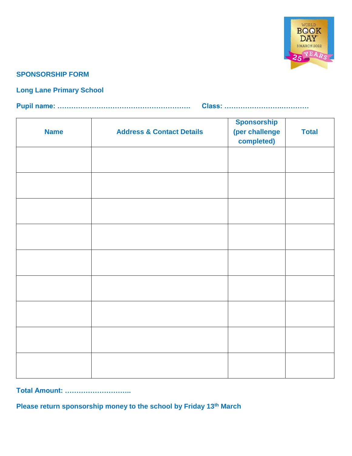

## **SPONSORSHIP FORM**

## **Long Lane Primary School**

|--|--|

| <b>Name</b> | <b>Address &amp; Contact Details</b> | <b>Sponsorship</b><br>(per challenge<br>completed) | <b>Total</b> |
|-------------|--------------------------------------|----------------------------------------------------|--------------|
|             |                                      |                                                    |              |
|             |                                      |                                                    |              |
|             |                                      |                                                    |              |
|             |                                      |                                                    |              |
|             |                                      |                                                    |              |
|             |                                      |                                                    |              |
|             |                                      |                                                    |              |
|             |                                      |                                                    |              |
|             |                                      |                                                    |              |

**Total Amount: ………………………..**

**Please return sponsorship money to the school by Friday 13th March**